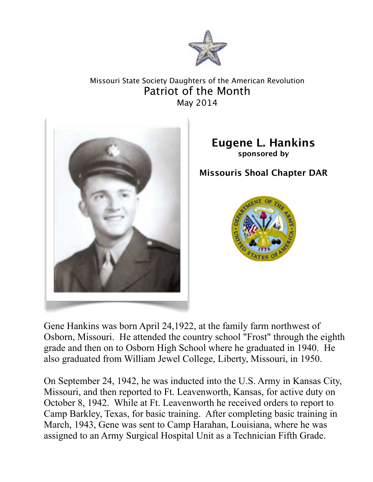

## Missouri State Society Daughters of the American Revolution Patriot of the Month May 2014



**Eugene L. Hankins sponsored by**

**Missouris Shoal Chapter DAR**



Gene Hankins was born April 24,1922, at the family farm northwest of Osborn, Missouri. He attended the country school "Frost" through the eighth grade and then on to Osborn High School where he graduated in 1940. He also graduated from William Jewel College, Liberty, Missouri, in 1950.

On September 24, 1942, he was inducted into the U.S. Army in Kansas City, Missouri, and then reported to Ft. Leavenworth, Kansas, for active duty on October 8, 1942. While at Ft. Leavenworth he received orders to report to Camp Barkley, Texas, for basic training. After completing basic training in March, 1943, Gene was sent to Camp Harahan, Louisiana, where he was assigned to an Army Surgical Hospital Unit as a Technician Fifth Grade.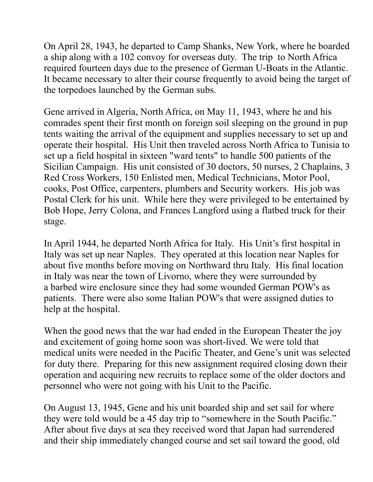On April 28, 1943, he departed to Camp Shanks, New York, where he boarded a ship along with a 102 convoy for overseas duty. The trip to North Africa required fourteen days due to the presence of German U-Boats in the Atlantic. It became necessary to alter their course frequently to avoid being the target of the torpedoes launched by the German subs.

Gene arrived in Algeria, North Africa, on May 11, 1943, where he and his comrades spent their first month on foreign soil sleeping on the ground in pup tents waiting the arrival of the equipment and supplies necessary to set up and operate their hospital. His Unit then traveled across North Africa to Tunisia to set up a field hospital in sixteen "ward tents" to handle 500 patients of the Sicilian Campaign. His unit consisted of 30 doctors, 50 nurses, 2 Chaplains, 3 Red Cross Workers, 150 Enlisted men, Medical Technicians, Motor Pool, cooks, Post Office, carpenters, plumbers and Security workers. His job was Postal Clerk for his unit. While here they were privileged to be entertained by Bob Hope, Jerry Colona, and Frances Langford using a flatbed truck for their stage.

In April 1944, he departed North Africa for Italy. His Unit's first hospital in Italy was set up near Naples. They operated at this location near Naples for about five months before moving on Northward thru Italy. His final location in Italy was near the town of Livorno, where they were surrounded by a barbed wire enclosure since they had some wounded German POW's as patients. There were also some Italian POW's that were assigned duties to help at the hospital.

When the good news that the war had ended in the European Theater the joy and excitement of going home soon was short-lived. We were told that medical units were needed in the Pacific Theater, and Gene's unit was selected for duty there. Preparing for this new assignment required closing down their operation and acquiring new recruits to replace some of the older doctors and personnel who were not going with his Unit to the Pacific.

On August 13, 1945, Gene and his unit boarded ship and set sail for where they were told would be a 45 day trip to "somewhere in the South Pacific." After about five days at sea they received word that Japan had surrendered and their ship immediately changed course and set sail toward the good, old